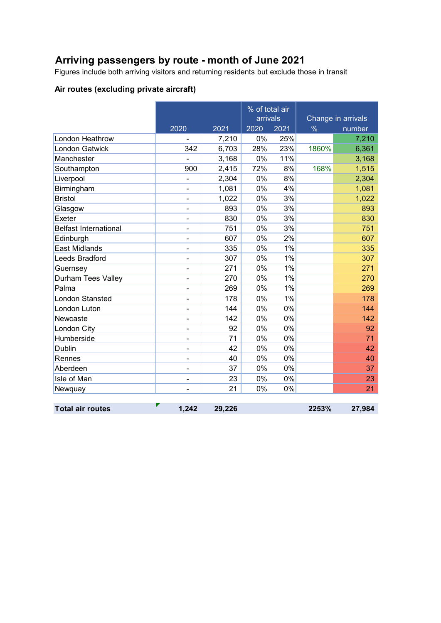# **Arriving passengers by route - month of June 2021**

Figures include both arriving visitors and returning residents but exclude those in transit

### **Air routes (excluding private aircraft)**

|                              |                              | % of total air<br>arrivals |      |      | Change in arrivals |        |
|------------------------------|------------------------------|----------------------------|------|------|--------------------|--------|
|                              | 2020                         | 2021                       | 2020 | 2021 | $\%$               | number |
| London Heathrow              |                              | 7,210                      | 0%   | 25%  |                    | 7,210  |
| <b>London Gatwick</b>        | 342                          | 6,703                      | 28%  | 23%  | 1860%              | 6,361  |
| Manchester                   |                              | 3,168                      | 0%   | 11%  |                    | 3,168  |
| Southampton                  | 900                          | 2,415                      | 72%  | 8%   | 168%               | 1,515  |
| Liverpool                    | $\qquad \qquad \blacksquare$ | 2,304                      | 0%   | 8%   |                    | 2,304  |
| Birmingham                   | $\overline{\phantom{0}}$     | 1,081                      | 0%   | 4%   |                    | 1,081  |
| <b>Bristol</b>               | -                            | 1,022                      | 0%   | 3%   |                    | 1,022  |
| Glasgow                      | $\blacksquare$               | 893                        | 0%   | 3%   |                    | 893    |
| Exeter                       | -                            | 830                        | 0%   | 3%   |                    | 830    |
| <b>Belfast International</b> | -                            | 751                        | 0%   | 3%   |                    | 751    |
| Edinburgh                    | $\blacksquare$               | 607                        | 0%   | 2%   |                    | 607    |
| <b>East Midlands</b>         | $\overline{\phantom{0}}$     | 335                        | 0%   | 1%   |                    | 335    |
| Leeds Bradford               |                              | 307                        | 0%   | 1%   |                    | 307    |
| Guernsey                     | ۰                            | 271                        | 0%   | 1%   |                    | 271    |
| Durham Tees Valley           | $\overline{\phantom{0}}$     | 270                        | 0%   | 1%   |                    | 270    |
| Palma                        | $\overline{\phantom{0}}$     | 269                        | 0%   | 1%   |                    | 269    |
| <b>London Stansted</b>       | $\overline{\phantom{0}}$     | 178                        | 0%   | 1%   |                    | 178    |
| London Luton                 |                              | 144                        | 0%   | 0%   |                    | 144    |
| Newcaste                     | $\blacksquare$               | 142                        | 0%   | 0%   |                    | 142    |
| London City                  | -                            | 92                         | 0%   | 0%   |                    | 92     |
| Humberside                   | $\overline{\phantom{0}}$     | 71                         | 0%   | 0%   |                    | 71     |
| Dublin                       | ۰                            | 42                         | 0%   | 0%   |                    | 42     |
| Rennes                       | ÷                            | 40                         | 0%   | 0%   |                    | 40     |
| Aberdeen                     | -                            | 37                         | 0%   | 0%   |                    | 37     |
| Isle of Man                  | $\overline{a}$               | 23                         | 0%   | 0%   |                    | 23     |
| Newquay                      |                              | 21                         | 0%   | 0%   |                    | 21     |
|                              |                              |                            |      |      |                    |        |
| <b>Total air routes</b>      | 1,242                        | 29,226                     |      |      | 2253%              | 27,984 |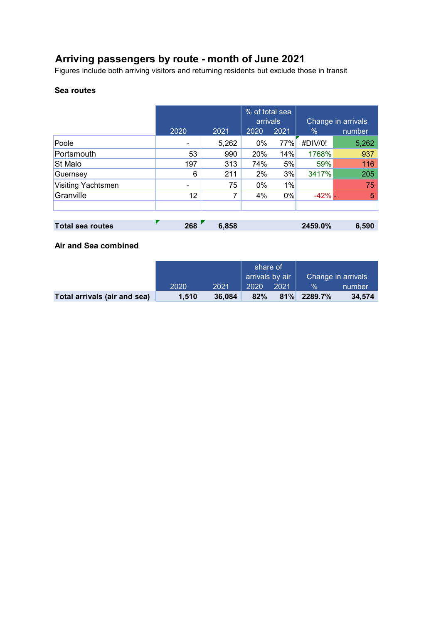# **Arriving passengers by route - month of June 2021**

Figures include both arriving visitors and returning residents but exclude those in transit

#### **Sea routes**

|                    | 2020 | 2021  | % of total sea<br>arrivals<br>2020 | 2021  | $\%$       | Change in arrivals<br>number |
|--------------------|------|-------|------------------------------------|-------|------------|------------------------------|
| Poole              |      | 5,262 | 0%                                 | 77%   | #DIV/0!    | 5,262                        |
| Portsmouth         | 53   | 990   | 20%                                | 14%   | 1768%      | 937                          |
| <b>St Malo</b>     | 197  | 313   | 74%                                | 5%    | 59%        | 116                          |
| Guernsey           | 6    | 211   | 2%                                 | 3%    | 3417%      | 205                          |
| Visiting Yachtsmen |      | 75    | $0\%$                              | $1\%$ |            | 75                           |
| Granville          | 12   | 7     | 4%                                 | $0\%$ | $-42%$ $-$ | 5                            |
|                    |      |       |                                    |       |            |                              |

| <b>Total sea routes</b> | 268 | 6,858 | 2459.0% | 6,590 |
|-------------------------|-----|-------|---------|-------|
|                         |     |       |         |       |

#### **Air and Sea combined**

|                              |       |        | share of<br>arrivals by air |      | Change in arrivals |        |
|------------------------------|-------|--------|-----------------------------|------|--------------------|--------|
|                              | 2020  | 2021   | 2020                        | 2021 | <b>Vo</b>          | number |
| Total arrivals (air and sea) | 1,510 | 36.084 | 82%                         |      | 81% 2289.7%        | 34.574 |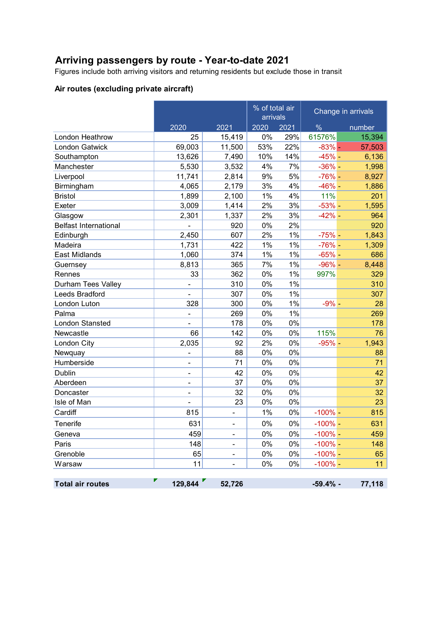# **Arriving passengers by route - Year-to-date 2021**

Figures include both arriving visitors and returning residents but exclude those in transit

### **Air routes (excluding private aircraft)**

|                              |                          |                          | % of total air<br>arrivals |      |               | Change in arrivals |
|------------------------------|--------------------------|--------------------------|----------------------------|------|---------------|--------------------|
|                              | 2020                     | 2021                     | 2020                       | 2021 | $\frac{0}{6}$ | number             |
| London Heathrow              | 25                       | 15,419                   | 0%                         | 29%  | 61576%        | 15,394             |
| London Gatwick               | 69,003                   | 11,500                   | 53%                        | 22%  | $-83%$ -      | 57,503             |
| Southampton                  | 13,626                   | 7,490                    | 10%                        | 14%  | $-45%$ -      | 6,136              |
| Manchester                   | 5,530                    | 3,532                    | 4%                         | 7%   | $-36%$ -      | 1,998              |
| Liverpool                    | 11,741                   | 2,814                    | 9%                         | 5%   | $-76%$ -      | 8,927              |
| Birmingham                   | 4,065                    | 2,179                    | 3%                         | 4%   | $-46% -$      | 1,886              |
| <b>Bristol</b>               | 1,899                    | 2,100                    | 1%                         | 4%   | 11%           | 201                |
| Exeter                       | 3,009                    | 1,414                    | 2%                         | 3%   | $-53%$ -      | 1,595              |
| Glasgow                      | 2,301                    | 1,337                    | 2%                         | 3%   | $-42%$ -      | 964                |
| <b>Belfast International</b> | ä,                       | 920                      | 0%                         | 2%   |               | 920                |
| Edinburgh                    | 2,450                    | 607                      | 2%                         | 1%   | $-75%$ -      | 1,843              |
| Madeira                      | 1,731                    | 422                      | 1%                         | 1%   | $-76%$ -      | 1,309              |
| East Midlands                | 1,060                    | 374                      | 1%                         | 1%   | $-65%$ -      | 686                |
| Guernsey                     | 8,813                    | 365                      | 7%                         | 1%   | $-96%$ -      | 8,448              |
| Rennes                       | 33                       | 362                      | 0%                         | 1%   | 997%          | 329                |
| Durham Tees Valley           | -                        | 310                      | 0%                         | 1%   |               | 310                |
| Leeds Bradford               |                          | 307                      | 0%                         | 1%   |               | 307                |
| London Luton                 | 328                      | 300                      | 0%                         | 1%   | $-9% -$       | 28                 |
| Palma                        | $\overline{\phantom{a}}$ | 269                      | 0%                         | 1%   |               | 269                |
| <b>London Stansted</b>       |                          | 178                      | 0%                         | 0%   |               | 178                |
| Newcastle                    | 66                       | 142                      | 0%                         | 0%   | 115%          | 76                 |
| London City                  | 2,035                    | 92                       | 2%                         | 0%   | $-95%$ -      | 1,943              |
| Newquay                      | $\overline{a}$           | 88                       | 0%                         | 0%   |               | 88                 |
| Humberside                   | $\blacksquare$           | 71                       | 0%                         | 0%   |               | 71                 |
| <b>Dublin</b>                | $\frac{1}{2}$            | 42                       | 0%                         | 0%   |               | 42                 |
| Aberdeen                     | $\overline{\phantom{a}}$ | 37                       | 0%                         | 0%   |               | 37                 |
| Doncaster                    | $\frac{1}{2}$            | 32                       | 0%                         | 0%   |               | 32                 |
| Isle of Man                  | ä,                       | 23                       | 0%                         | 0%   |               | 23                 |
| Cardiff                      | 815                      | ÷,                       | 1%                         | 0%   | $-100%$ –     | 815                |
| <b>Tenerife</b>              | 631                      | $\blacksquare$           | 0%                         | 0%   | $-100%$ –     | 631                |
| Geneva                       | 459                      | $\overline{\phantom{a}}$ | 0%                         | 0%   | $-100%$ -     | 459                |
| Paris                        | 148                      | $\overline{a}$           | 0%                         | 0%   | $-100\%$ –    | 148                |
| Grenoble                     | 65                       | $\blacksquare$           | 0%                         | 0%   | $-100\%$ –    | 65                 |
| Warsaw                       | 11                       | ÷,                       | 0%                         | 0%   | $-100\%$ –    | 11                 |
|                              |                          |                          |                            |      |               |                    |
| <b>Total air routes</b>      | 129,844                  | 52,726                   |                            |      | $-59.4%$ -    | 77,118             |